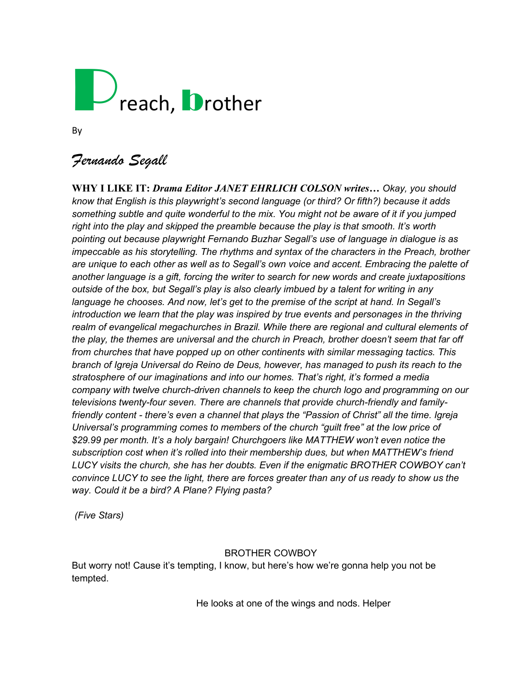# $\gamma$ reach, **D**rother

By

# *Fernando Segall*

**WHY I LIKE IT:** *Drama Editor JANET EHRLICH COLSON writes… Okay, you should know that English is this playwright's second language (or third? Or fifth?) because it adds something subtle and quite wonderful to the mix. You might not be aware of it if you jumped right into the play and skipped the preamble because the play is that smooth. It's worth pointing out because playwright Fernando Buzhar Segall's use of language in dialogue is as impeccable as his storytelling. The rhythms and syntax of the characters in the Preach, brother are unique to each other as well as to Segall's own voice and accent. Embracing the palette of another language is a gift, forcing the writer to search for new words and create juxtapositions outside of the box, but Segall's play is also clearly imbued by a talent for writing in any language he chooses. And now, let's get to the premise of the script at hand. In Segall's introduction we learn that the play was inspired by true events and personages in the thriving realm of evangelical megachurches in Brazil. While there are regional and cultural elements of the play, the themes are universal and the church in Preach, brother doesn't seem that far off from churches that have popped up on other continents with similar messaging tactics. This branch of Igreja Universal do Reino de Deus, however, has managed to push its reach to the stratosphere of our imaginations and into our homes. That's right, it's formed a media company with twelve church-driven channels to keep the church logo and programming on our televisions twenty-four seven. There are channels that provide church-friendly and familyfriendly content - there's even a channel that plays the "Passion of Christ" all the time. Igreja Universal's programming comes to members of the church "guilt free" at the low price of \$29.99 per month. It's a holy bargain! Churchgoers like MATTHEW won't even notice the subscription cost when it's rolled into their membership dues, but when MATTHEW's friend LUCY visits the church, she has her doubts. Even if the enigmatic BROTHER COWBOY can't convince LUCY to see the light, there are forces greater than any of us ready to show us the way. Could it be a bird? A Plane? Flying pasta?* 

*(Five Stars)* 

## BROTHER COWBOY

But worry not! Cause it's tempting, I know, but here's how we're gonna help you not be tempted.

He looks at one of the wings and nods. Helper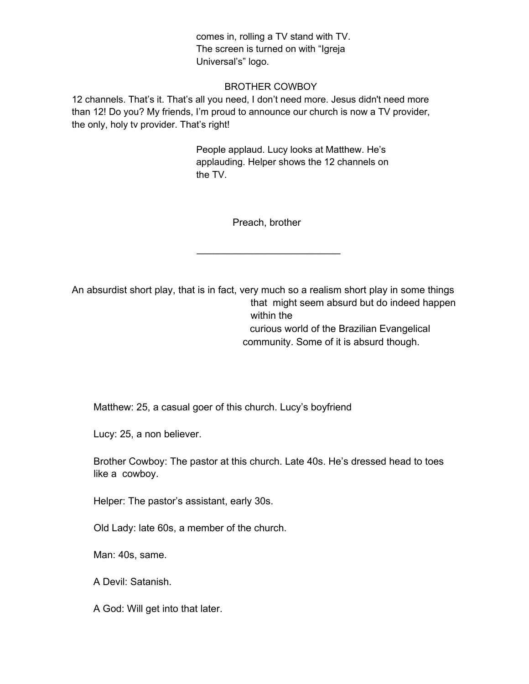comes in, rolling a TV stand with TV. The screen is turned on with "Igreja Universal's" logo.

#### BROTHER COWBOY

12 channels. That's it. That's all you need, I don't need more. Jesus didn't need more than 12! Do you? My friends, I'm proud to announce our church is now a TV provider, the only, holy tv provider. That's right!

> People applaud. Lucy looks at Matthew. He's applauding. Helper shows the 12 channels on the TV.

> > Preach, brother

 $\overline{\phantom{a}}$  , where  $\overline{\phantom{a}}$  , where  $\overline{\phantom{a}}$  , where  $\overline{\phantom{a}}$ 

An absurdist short play, that is in fact, very much so a realism short play in some things that might seem absurd but do indeed happen within the curious world of the Brazilian Evangelical community. Some of it is absurd though.

Matthew: 25, a casual goer of this church. Lucy's boyfriend

Lucy: 25, a non believer.

Brother Cowboy: The pastor at this church. Late 40s. He's dressed head to toes like a cowboy.

Helper: The pastor's assistant, early 30s.

Old Lady: late 60s, a member of the church.

Man: 40s, same.

A Devil: Satanish.

A God: Will get into that later.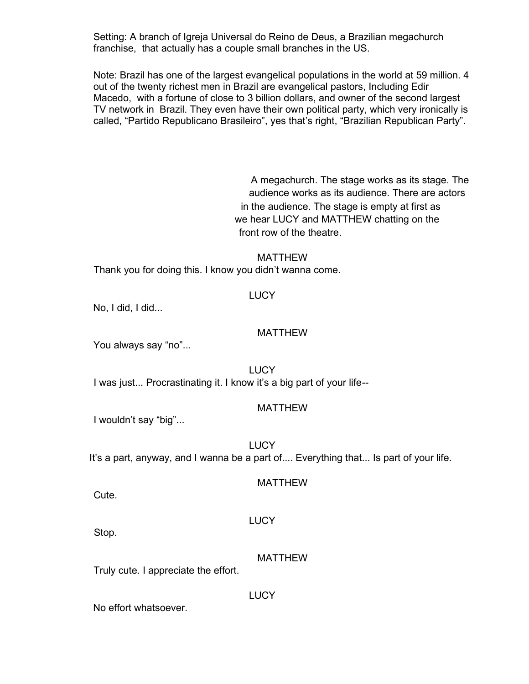Setting: A branch of Igreja Universal do Reino de Deus, a Brazilian megachurch franchise, that actually has a couple small branches in the US.

Note: Brazil has one of the largest evangelical populations in the world at 59 million. 4 out of the twenty richest men in Brazil are evangelical pastors, Including Edir Macedo, with a fortune of close to 3 billion dollars, and owner of the second largest TV network in Brazil. They even have their own political party, which very ironically is called, "Partido Republicano Brasileiro", yes that's right, "Brazilian Republican Party".

> A megachurch. The stage works as its stage. The audience works as its audience. There are actors in the audience. The stage is empty at first as we hear LUCY and MATTHEW chatting on the front row of the theatre.

#### MATTHEW

Thank you for doing this. I know you didn't wanna come.

#### **LUCY**

No, I did, I did...

#### MATTHEW

You always say "no"...

**LUCY** I was just... Procrastinating it. I know it's a big part of your life--

#### MATTHEW

I wouldn't say "big"...

**LUCY** It's a part, anyway, and I wanna be a part of.... Everything that... Is part of your life.

#### MATTHEW

Cute.

#### **LUCY**

Stop.

#### MATTHEW

Truly cute. I appreciate the effort.

**LUCY** 

No effort whatsoever.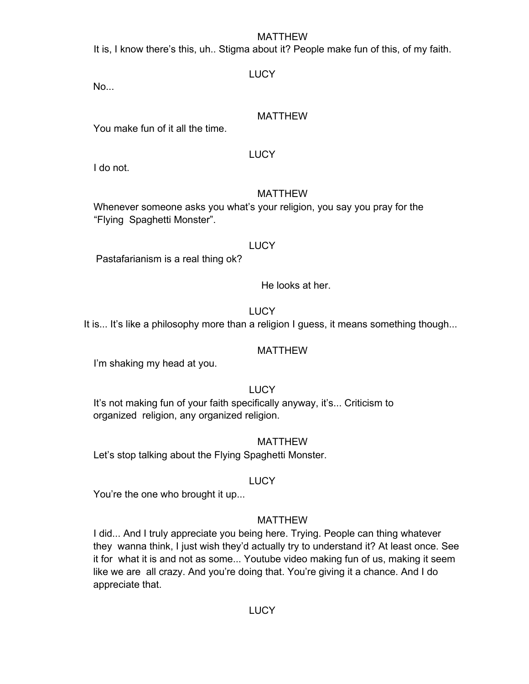## MATTHEW

It is, I know there's this, uh.. Stigma about it? People make fun of this, of my faith.

No...

## **LUCY**

## MATTHEW

You make fun of it all the time.

## **LUCY**

I do not.

## MATTHEW

Whenever someone asks you what's your religion, you say you pray for the "Flying Spaghetti Monster".

## **LUCY**

Pastafarianism is a real thing ok?

He looks at her.

**LUCY** 

It is... It's like a philosophy more than a religion I guess, it means something though...

## MATTHEW

I'm shaking my head at you.

## **LUCY**

It's not making fun of your faith specifically anyway, it's... Criticism to organized religion, any organized religion.

## MATTHEW

Let's stop talking about the Flying Spaghetti Monster.

## **LUCY**

You're the one who brought it up...

## MATTHEW

I did... And I truly appreciate you being here. Trying. People can thing whatever they wanna think, I just wish they'd actually try to understand it? At least once. See it for what it is and not as some... Youtube video making fun of us, making it seem like we are all crazy. And you're doing that. You're giving it a chance. And I do appreciate that.

## **LUCY**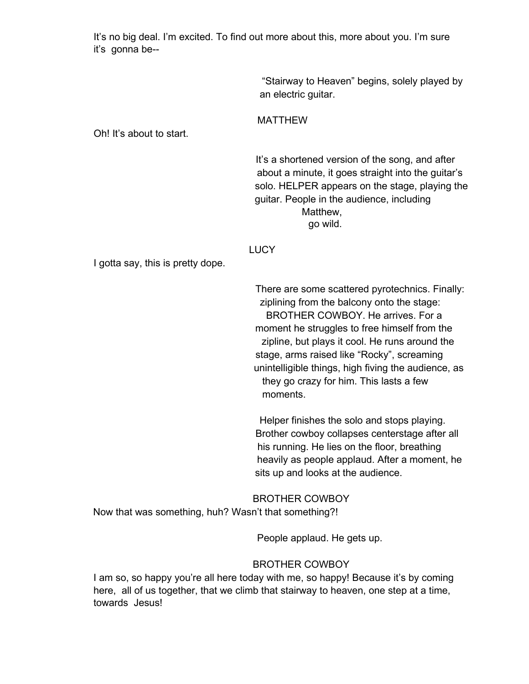It's no big deal. I'm excited. To find out more about this, more about you. I'm sure it's gonna be--

> "Stairway to Heaven" begins, solely played by an electric guitar.

## MATTHEW

Oh! It's about to start.

It's a shortened version of the song, and after about a minute, it goes straight into the guitar's solo. HELPER appears on the stage, playing the guitar. People in the audience, including Matthew, go wild.

#### **LUCY**

I gotta say, this is pretty dope.

There are some scattered pyrotechnics. Finally: ziplining from the balcony onto the stage: BROTHER COWBOY. He arrives. For a moment he struggles to free himself from the zipline, but plays it cool. He runs around the stage, arms raised like "Rocky", screaming unintelligible things, high fiving the audience, as they go crazy for him. This lasts a few moments.

Helper finishes the solo and stops playing. Brother cowboy collapses centerstage after all his running. He lies on the floor, breathing heavily as people applaud. After a moment, he sits up and looks at the audience.

BROTHER COWBOY

Now that was something, huh? Wasn't that something?!

People applaud. He gets up.

## BROTHER COWBOY

I am so, so happy you're all here today with me, so happy! Because it's by coming here, all of us together, that we climb that stairway to heaven, one step at a time, towards Jesus!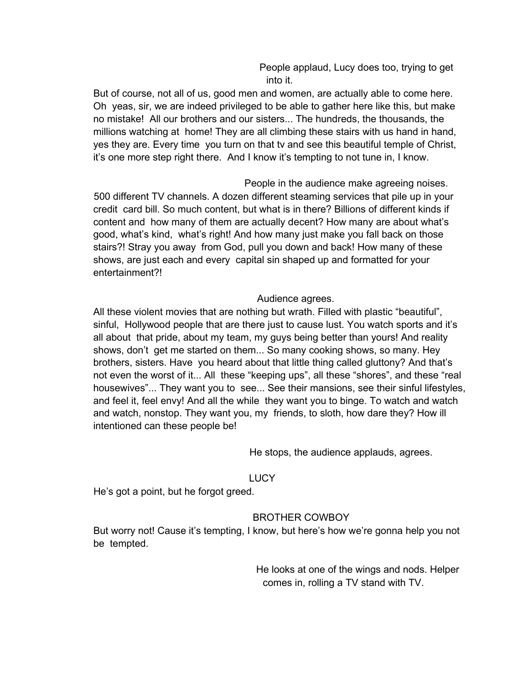People applaud, Lucy does too, trying to get into it.

But of course, not all of us, good men and women, are actually able to come here. Oh yeas, sir, we are indeed privileged to be able to gather here like this, but make no mistake! All our brothers and our sisters... The hundreds, the thousands, the millions watching at home! They are all climbing these stairs with us hand in hand, yes they are. Every time you turn on that tv and see this beautiful temple of Christ, it's one more step right there. And I know it's tempting to not tune in, I know.

People in the audience make agreeing noises. 500 different TV channels. A dozen different steaming services that pile up in your credit card bill. So much content, but what is in there? Billions of different kinds if content and how many of them are actually decent? How many are about what's good, what's kind, what's right! And how many just make you fall back on those stairs?! Stray you away from God, pull you down and back! How many of these shows, are just each and every capital sin shaped up and formatted for your entertainment?!

## Audience agrees.

All these violent movies that are nothing but wrath. Filled with plastic "beautiful", sinful, Hollywood people that are there just to cause lust. You watch sports and it's all about that pride, about my team, my guys being better than yours! And reality shows, don't get me started on them... So many cooking shows, so many. Hey brothers, sisters. Have you heard about that little thing called gluttony? And that's not even the worst of it... All these "keeping ups", all these "shores", and these "real housewives"... They want you to see... See their mansions, see their sinful lifestyles, and feel it, feel envy! And all the while they want you to binge. To watch and watch and watch, nonstop. They want you, my friends, to sloth, how dare they? How ill intentioned can these people be!

He stops, the audience applauds, agrees.

## LUCY

He's got a point, but he forgot greed.

## BROTHER COWBOY

But worry not! Cause it's tempting, I know, but here's how we're gonna help you not be tempted.

> He looks at one of the wings and nods. Helper comes in, rolling a TV stand with TV.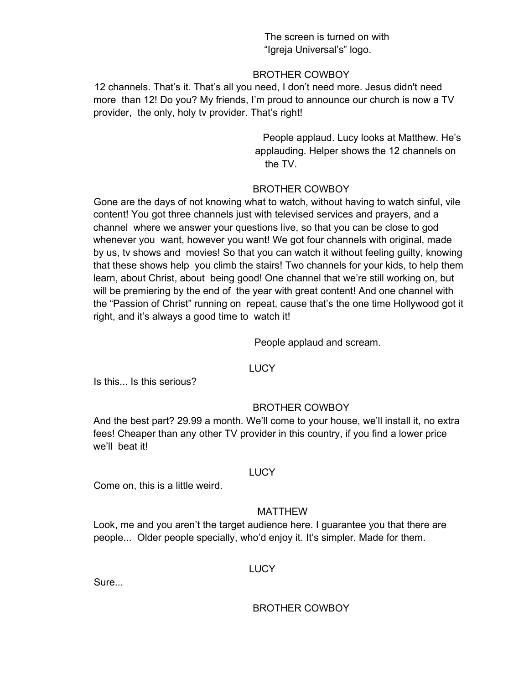The screen is turned on with "Igreja Universal's" logo.

## BROTHER COWBOY

12 channels. That's it. That's all you need, I don't need more. Jesus didn't need more than 12! Do you? My friends, I'm proud to announce our church is now a TV provider, the only, holy tv provider. That's right!

> People applaud. Lucy looks at Matthew. He's applauding. Helper shows the 12 channels on the TV.

## BROTHER COWBOY

Gone are the days of not knowing what to watch, without having to watch sinful, vile content! You got three channels just with televised services and prayers, and a channel where we answer your questions live, so that you can be close to god whenever you want, however you want! We got four channels with original, made by us, tv shows and movies! So that you can watch it without feeling guilty, knowing that these shows help you climb the stairs! Two channels for your kids, to help them learn, about Christ, about being good! One channel that we're still working on, but will be premiering by the end of the year with great content! And one channel with the "Passion of Christ" running on repeat, cause that's the one time Hollywood got it right, and it's always a good time to watch it!

People applaud and scream.

## **LUCY**

Is this... Is this serious?

## BROTHER COWBOY

And the best part? 29.99 a month. We'll come to your house, we'll install it, no extra fees! Cheaper than any other TV provider in this country, if you find a lower price we'll beat it!

#### LUCY

Come on, this is a little weird.

## MATTHEW

Look, me and you aren't the target audience here. I guarantee you that there are people... Older people specially, who'd enjoy it. It's simpler. Made for them.

## **LUCY**

**Sure...**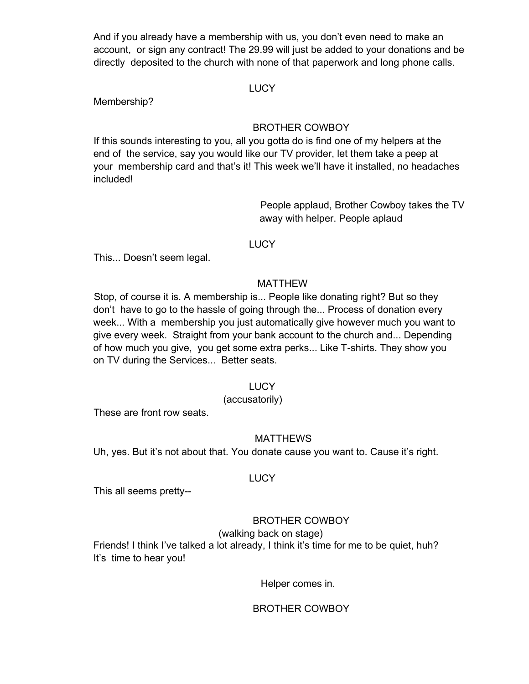And if you already have a membership with us, you don't even need to make an account, or sign any contract! The 29.99 will just be added to your donations and be directly deposited to the church with none of that paperwork and long phone calls.

#### **LUCY**

Membership?

## BROTHER COWBOY

If this sounds interesting to you, all you gotta do is find one of my helpers at the end of the service, say you would like our TV provider, let them take a peep at your membership card and that's it! This week we'll have it installed, no headaches included!

> People applaud, Brother Cowboy takes the TV away with helper. People aplaud

#### LUCY

This... Doesn't seem legal.

## MATTHEW

Stop, of course it is. A membership is... People like donating right? But so they don't have to go to the hassle of going through the... Process of donation every week... With a membership you just automatically give however much you want to give every week. Straight from your bank account to the church and... Depending of how much you give, you get some extra perks... Like T-shirts. They show you on TV during the Services... Better seats.

## **LUCY**

## (accusatorily)

These are front row seats.

## MATTHEWS

Uh, yes. But it's not about that. You donate cause you want to. Cause it's right.

#### LUCY

This all seems pretty--

## BROTHER COWBOY

(walking back on stage)

Friends! I think I've talked a lot already, I think it's time for me to be quiet, huh? It's time to hear you!

Helper comes in.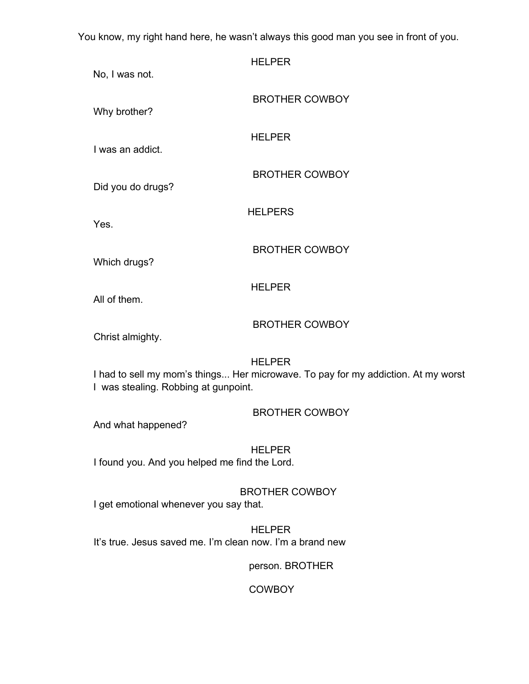You know, my right hand here, he wasn't always this good man you see in front of you.

| No, I was not.                                                                                                                             | <b>HELPER</b>         |  |
|--------------------------------------------------------------------------------------------------------------------------------------------|-----------------------|--|
| Why brother?                                                                                                                               | <b>BROTHER COWBOY</b> |  |
| I was an addict.                                                                                                                           | <b>HELPER</b>         |  |
| Did you do drugs?                                                                                                                          | <b>BROTHER COWBOY</b> |  |
| Yes.                                                                                                                                       | <b>HELPERS</b>        |  |
| Which drugs?                                                                                                                               | <b>BROTHER COWBOY</b> |  |
| All of them.                                                                                                                               | <b>HELPER</b>         |  |
| Christ almighty.                                                                                                                           | <b>BROTHER COWBOY</b> |  |
| <b>HELPER</b><br>I had to sell my mom's things Her microwave. To pay for my addiction. At my worst<br>I was stealing. Robbing at gunpoint. |                       |  |
| And what happened?                                                                                                                         | <b>BROTHER COWBOY</b> |  |
| I found you. And you helped me find the Lord.                                                                                              | <b>HELPER</b>         |  |
| I get emotional whenever you say that.                                                                                                     | <b>BROTHER COWBOY</b> |  |

HELPER It's true. Jesus saved me. I'm clean now. I'm a brand new

person. BROTHER

**COWBOY**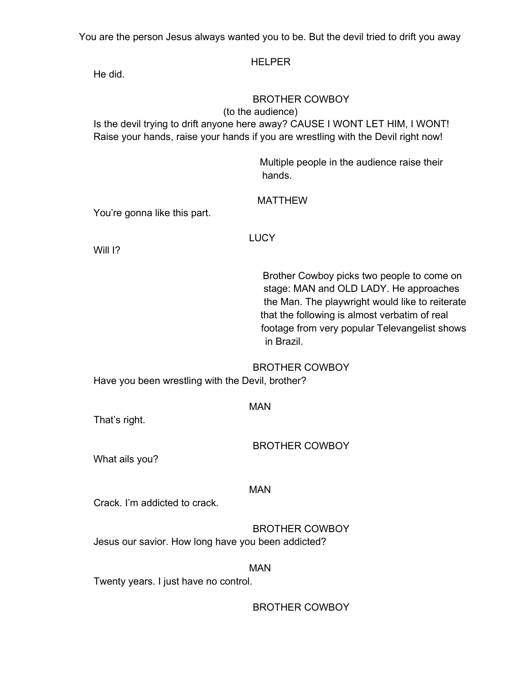You are the person Jesus always wanted you to be. But the devil tried to drift you away

## HELPER

He did.

## BROTHER COWBOY

#### (to the audience)

Is the devil trying to drift anyone here away? CAUSE I WONT LET HIM, I WONT! Raise your hands, raise your hands if you are wrestling with the Devil right now!

> Multiple people in the audience raise their hands.

## MATTHEW

You're gonna like this part.

## **LUCY**

Will 1?

Brother Cowboy picks two people to come on stage: MAN and OLD LADY. He approaches the Man. The playwright would like to reiterate that the following is almost verbatim of real footage from very popular Televangelist shows in Brazil.

## BROTHER COWBOY

Have you been wrestling with the Devil, brother?

#### MAN

That's right.

BROTHER COWBOY

What ails you?

## MAN

Crack. I'm addicted to crack.

BROTHER COWBOY Jesus our savior. How long have you been addicted?

## MAN

Twenty years. I just have no control.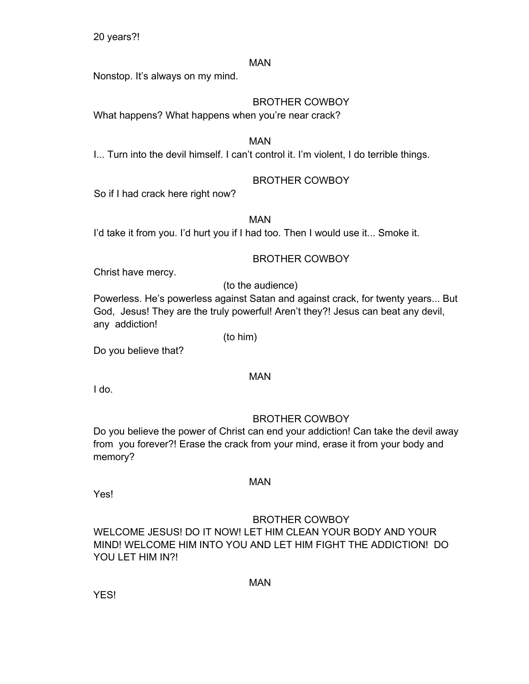20 years?!

## MAN

Nonstop. It's always on my mind.

## BROTHER COWBOY

What happens? What happens when you're near crack?

## MAN

I... Turn into the devil himself. I can't control it. I'm violent, I do terrible things.

## BROTHER COWBOY

So if I had crack here right now?

MAN

I'd take it from you. I'd hurt you if I had too. Then I would use it... Smoke it.

## BROTHER COWBOY

Christ have mercy.

(to the audience)

Powerless. He's powerless against Satan and against crack, for twenty years... But God, Jesus! They are the truly powerful! Aren't they?! Jesus can beat any devil, any addiction!

Do you believe that?

## MAN

(to him)

I do.

## BROTHER COWBOY

Do you believe the power of Christ can end your addiction! Can take the devil away from you forever?! Erase the crack from your mind, erase it from your body and memory?

Yes!

## BROTHER COWBOY

WELCOME JESUS! DO IT NOW! LET HIM CLEAN YOUR BODY AND YOUR MIND! WELCOME HIM INTO YOU AND LET HIM FIGHT THE ADDICTION! DO YOU LET HIM IN?!

MAN

MAN

YES!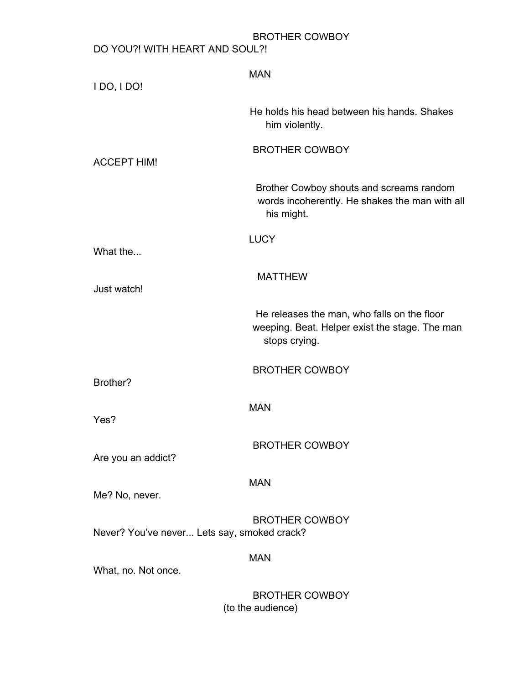| I DO, I DO!                                 | <b>MAN</b>                                                                                                     |
|---------------------------------------------|----------------------------------------------------------------------------------------------------------------|
|                                             | He holds his head between his hands. Shakes<br>him violently.                                                  |
| <b>ACCEPT HIM!</b>                          | <b>BROTHER COWBOY</b>                                                                                          |
|                                             | Brother Cowboy shouts and screams random<br>words incoherently. He shakes the man with all<br>his might.       |
| What the                                    | <b>LUCY</b>                                                                                                    |
| Just watch!                                 | <b>MATTHEW</b>                                                                                                 |
|                                             | He releases the man, who falls on the floor<br>weeping. Beat. Helper exist the stage. The man<br>stops crying. |
| Brother?                                    | <b>BROTHER COWBOY</b>                                                                                          |
| Yes?                                        | <b>MAN</b>                                                                                                     |
| Are you an addict?                          | <b>BROTHER COWBOY</b>                                                                                          |
| Me? No, never.                              | <b>MAN</b>                                                                                                     |
| Never? You've never Lets say, smoked crack? | <b>BROTHER COWBOY</b>                                                                                          |
| What, no. Not once.                         | <b>MAN</b>                                                                                                     |
|                                             | <b>BROTHER COWBOY</b><br>(to the audience)                                                                     |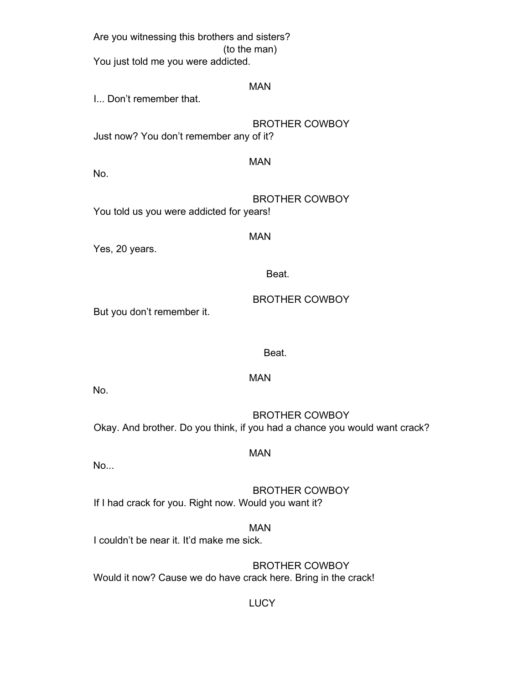Are you witnessing this brothers and sisters? (to the man) You just told me you were addicted. MAN I... Don't remember that. BROTHER COWBOY Just now? You don't remember any of it? MAN No. BROTHER COWBOY You told us you were addicted for years! MAN Yes, 20 years. Beat. BROTHER COWBOY But you don't remember it.

Beat.

No.

BROTHER COWBOY Okay. And brother. Do you think, if you had a chance you would want crack?

MAN

MAN

No...

BROTHER COWBOY If I had crack for you. Right now. Would you want it?

MAN I couldn't be near it. It'd make me sick.

BROTHER COWBOY Would it now? Cause we do have crack here. Bring in the crack!

**LUCY**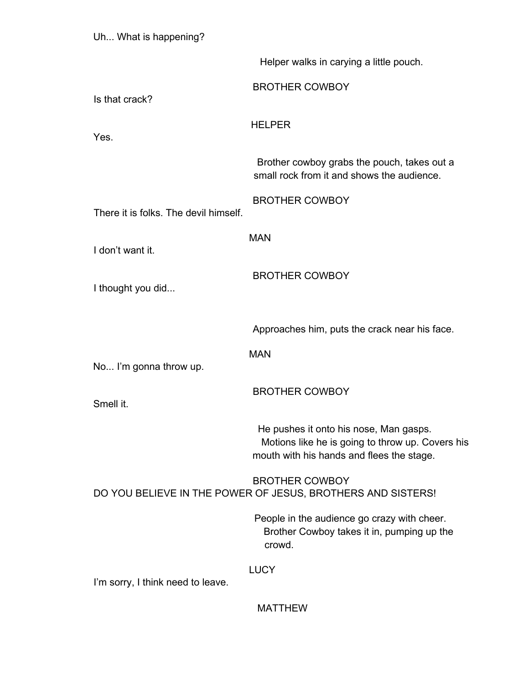| Uh What is happening?                                                                |                                                                                                                                         |
|--------------------------------------------------------------------------------------|-----------------------------------------------------------------------------------------------------------------------------------------|
|                                                                                      | Helper walks in carying a little pouch.                                                                                                 |
| Is that crack?                                                                       | <b>BROTHER COWBOY</b>                                                                                                                   |
| Yes.                                                                                 | <b>HELPER</b>                                                                                                                           |
|                                                                                      | Brother cowboy grabs the pouch, takes out a<br>small rock from it and shows the audience.                                               |
| There it is folks. The devil himself.                                                | <b>BROTHER COWBOY</b>                                                                                                                   |
| I don't want it.                                                                     | <b>MAN</b>                                                                                                                              |
| I thought you did                                                                    | <b>BROTHER COWBOY</b>                                                                                                                   |
|                                                                                      | Approaches him, puts the crack near his face.                                                                                           |
| No I'm gonna throw up.                                                               | <b>MAN</b>                                                                                                                              |
| Smell it.                                                                            | <b>BROTHER COWBOY</b>                                                                                                                   |
|                                                                                      | He pushes it onto his nose, Man gasps.<br>Motions like he is going to throw up. Covers his<br>mouth with his hands and flees the stage. |
| <b>BROTHER COWBOY</b><br>DO YOU BELIEVE IN THE POWER OF JESUS, BROTHERS AND SISTERS! |                                                                                                                                         |
|                                                                                      | People in the audience go crazy with cheer.<br>Brother Cowboy takes it in, pumping up the<br>crowd.                                     |
| I'm sorry, I think need to leave.                                                    | <b>LUCY</b>                                                                                                                             |

MATTHEW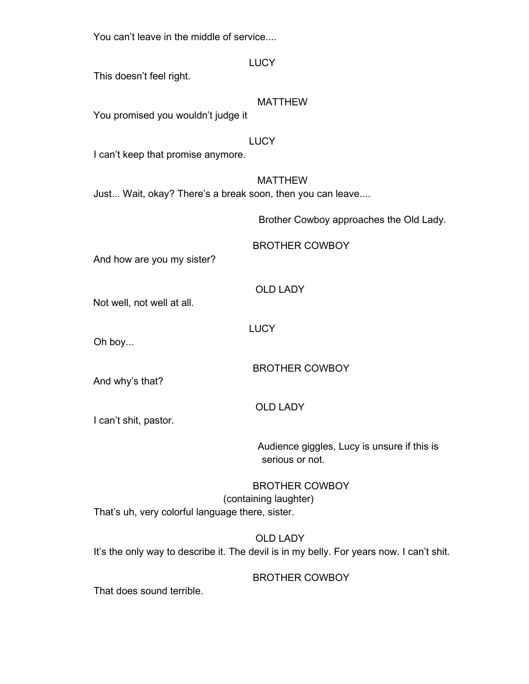You can't leave in the middle of service....

|                                                           | <b>LUCY</b>                                                    |
|-----------------------------------------------------------|----------------------------------------------------------------|
| This doesn't feel right.                                  |                                                                |
|                                                           | <b>MATTHEW</b>                                                 |
| You promised you wouldn't judge it                        |                                                                |
|                                                           | <b>LUCY</b>                                                    |
| I can't keep that promise anymore.                        |                                                                |
| Just Wait, okay? There's a break soon, then you can leave | <b>MATTHEW</b>                                                 |
|                                                           | Brother Cowboy approaches the Old Lady.                        |
| And how are you my sister?                                | <b>BROTHER COWBOY</b>                                          |
| Not well, not well at all.                                | <b>OLD LADY</b>                                                |
|                                                           | <b>LUCY</b>                                                    |
| Oh boy                                                    |                                                                |
| And why's that?                                           | <b>BROTHER COWBOY</b>                                          |
| I can't shit, pastor.                                     | <b>OLD LADY</b>                                                |
|                                                           | Audience giggles, Lucy is unsure if this is<br>serious or not. |
| That's uh, very colorful language there, sister.          | <b>BROTHER COWBOY</b><br>(containing laughter)                 |

OLD LADY It's the only way to describe it. The devil is in my belly. For years now. I can't shit.

BROTHER COWBOY

That does sound terrible.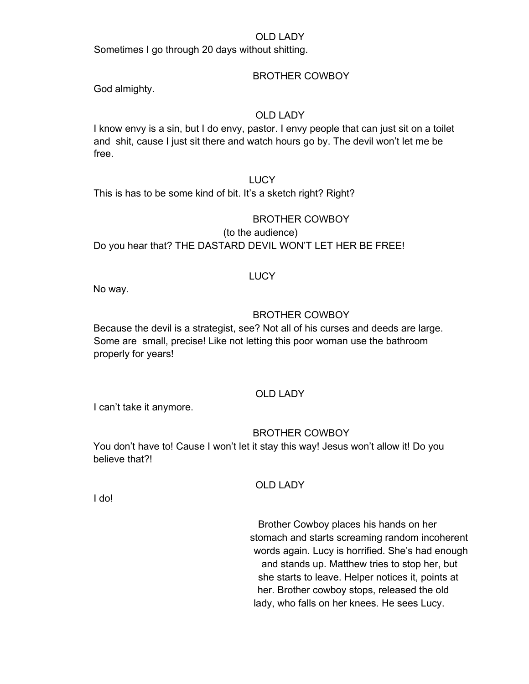#### OLD LADY

Sometimes I go through 20 days without shitting.

#### BROTHER COWBOY

God almighty.

## OLD LADY

I know envy is a sin, but I do envy, pastor. I envy people that can just sit on a toilet and shit, cause I just sit there and watch hours go by. The devil won't let me be free.

#### **LUCY**

This is has to be some kind of bit. It's a sketch right? Right?

#### BROTHER COWBOY

(to the audience) Do you hear that? THE DASTARD DEVIL WON'T LET HER BE FREE!

#### LUCY

No way.

#### BROTHER COWBOY

Because the devil is a strategist, see? Not all of his curses and deeds are large. Some are small, precise! Like not letting this poor woman use the bathroom properly for years!

## OLD LADY

I can't take it anymore.

#### BROTHER COWBOY

You don't have to! Cause I won't let it stay this way! Jesus won't allow it! Do you believe that?!

#### OLD LADY

I do!

Brother Cowboy places his hands on her stomach and starts screaming random incoherent words again. Lucy is horrified. She's had enough and stands up. Matthew tries to stop her, but she starts to leave. Helper notices it, points at her. Brother cowboy stops, released the old lady, who falls on her knees. He sees Lucy.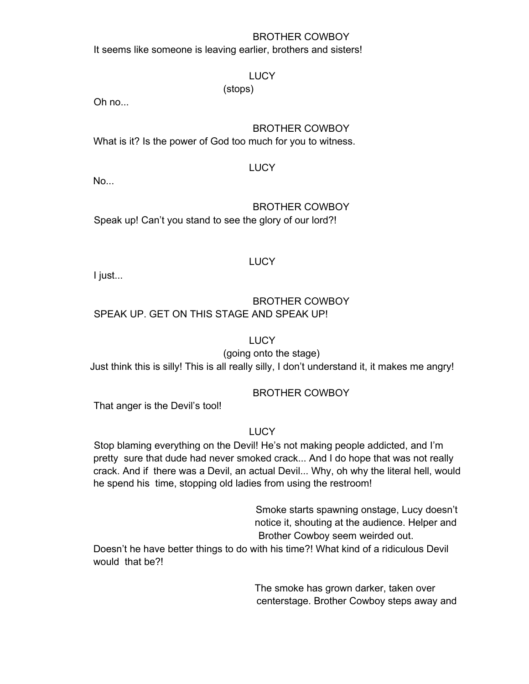## BROTHER COWBOY

It seems like someone is leaving earlier, brothers and sisters!

## **LUCY**

(stops)

Oh no...

## BROTHER COWBOY

What is it? Is the power of God too much for you to witness.

## **LUCY**

No...

## BROTHER COWBOY Speak up! Can't you stand to see the glory of our lord?!

## LUCY

I just...

## BROTHER COWBOY SPEAK UP. GET ON THIS STAGE AND SPEAK UP!

**LUCY** 

(going onto the stage)

Just think this is silly! This is all really silly, I don't understand it, it makes me angry!

## BROTHER COWBOY

That anger is the Devil's tool!

## **LUCY**

Stop blaming everything on the Devil! He's not making people addicted, and I'm pretty sure that dude had never smoked crack... And I do hope that was not really crack. And if there was a Devil, an actual Devil... Why, oh why the literal hell, would he spend his time, stopping old ladies from using the restroom!

> Smoke starts spawning onstage, Lucy doesn't notice it, shouting at the audience. Helper and Brother Cowboy seem weirded out.

Doesn't he have better things to do with his time?! What kind of a ridiculous Devil would that be?!

> The smoke has grown darker, taken over centerstage. Brother Cowboy steps away and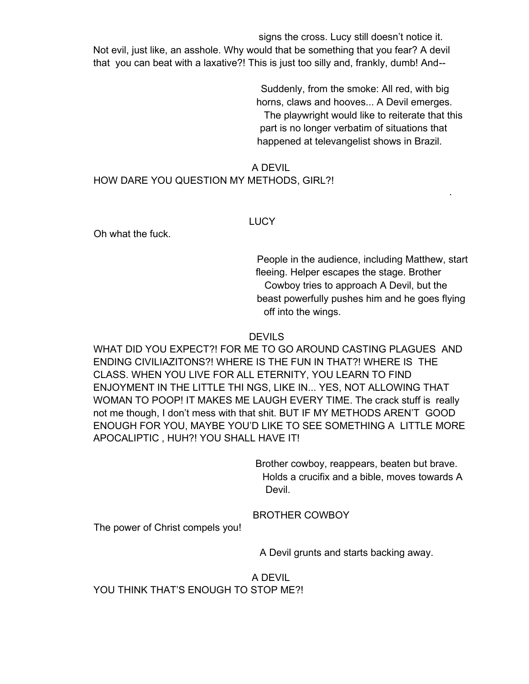signs the cross. Lucy still doesn't notice it. Not evil, just like, an asshole. Why would that be something that you fear? A devil that you can beat with a laxative?! This is just too silly and, frankly, dumb! And--

> Suddenly, from the smoke: All red, with big horns, claws and hooves... A Devil emerges. The playwright would like to reiterate that this part is no longer verbatim of situations that happened at televangelist shows in Brazil.

## A DEVIL HOW DARE YOU QUESTION MY METHODS, GIRL?!

#### LUCY

Oh what the fuck.

People in the audience, including Matthew, start fleeing. Helper escapes the stage. Brother Cowboy tries to approach A Devil, but the beast powerfully pushes him and he goes flying off into the wings.

.

**DEVILS** 

WHAT DID YOU EXPECT?! FOR ME TO GO AROUND CASTING PLAGUES AND ENDING CIVILIAZITONS?! WHERE IS THE FUN IN THAT?! WHERE IS THE CLASS. WHEN YOU LIVE FOR ALL ETERNITY, YOU LEARN TO FIND ENJOYMENT IN THE LITTLE THI NGS, LIKE IN... YES, NOT ALLOWING THAT WOMAN TO POOP! IT MAKES ME LAUGH EVERY TIME. The crack stuff is really not me though, I don't mess with that shit. BUT IF MY METHODS AREN'T GOOD ENOUGH FOR YOU, MAYBE YOU'D LIKE TO SEE SOMETHING A LITTLE MORE APOCALIPTIC , HUH?! YOU SHALL HAVE IT!

> Brother cowboy, reappears, beaten but brave. Holds a crucifix and a bible, moves towards A Devil.

BROTHER COWBOY

The power of Christ compels you!

A Devil grunts and starts backing away.

A DEVIL YOU THINK THAT'S ENOUGH TO STOP ME?!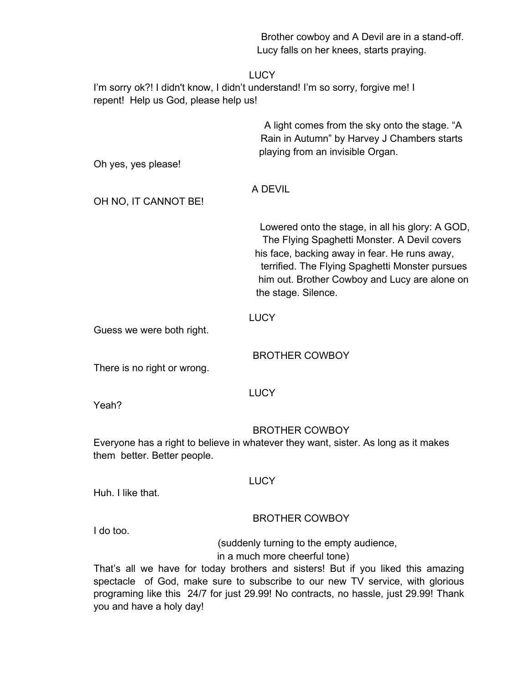|                                       | Brother cowboy and A Devil are in a stand-off.<br>Lucy falls on her knees, starts praying.                                                                                                                                                                                                                                             |
|---------------------------------------|----------------------------------------------------------------------------------------------------------------------------------------------------------------------------------------------------------------------------------------------------------------------------------------------------------------------------------------|
| repent! Help us God, please help us!  | <b>LUCY</b><br>I'm sorry ok?! I didn't know, I didn't understand! I'm so sorry, forgive me! I                                                                                                                                                                                                                                          |
| Oh yes, yes please!                   | A light comes from the sky onto the stage. "A<br>Rain in Autumn" by Harvey J Chambers starts<br>playing from an invisible Organ.                                                                                                                                                                                                       |
| OH NO, IT CANNOT BE!                  | A DEVIL                                                                                                                                                                                                                                                                                                                                |
|                                       | Lowered onto the stage, in all his glory: A GOD,<br>The Flying Spaghetti Monster. A Devil covers<br>his face, backing away in fear. He runs away,<br>terrified. The Flying Spaghetti Monster pursues<br>him out. Brother Cowboy and Lucy are alone on<br>the stage. Silence.                                                           |
| Guess we were both right.             | <b>LUCY</b>                                                                                                                                                                                                                                                                                                                            |
| There is no right or wrong.           | <b>BROTHER COWBOY</b>                                                                                                                                                                                                                                                                                                                  |
| Yeah?                                 | <b>LUCY</b>                                                                                                                                                                                                                                                                                                                            |
| them better. Better people.           | <b>BROTHER COWBOY</b><br>Everyone has a right to believe in whatever they want, sister. As long as it makes                                                                                                                                                                                                                            |
| Huh. I like that.                     | <b>LUCY</b>                                                                                                                                                                                                                                                                                                                            |
|                                       | <b>BROTHER COWBOY</b>                                                                                                                                                                                                                                                                                                                  |
| I do too.<br>you and have a holy day! | (suddenly turning to the empty audience,<br>in a much more cheerful tone)<br>That's all we have for today brothers and sisters! But if you liked this amazing<br>spectacle of God, make sure to subscribe to our new TV service, with glorious<br>programing like this 24/7 for just 29.99! No contracts, no hassle, just 29.99! Thank |